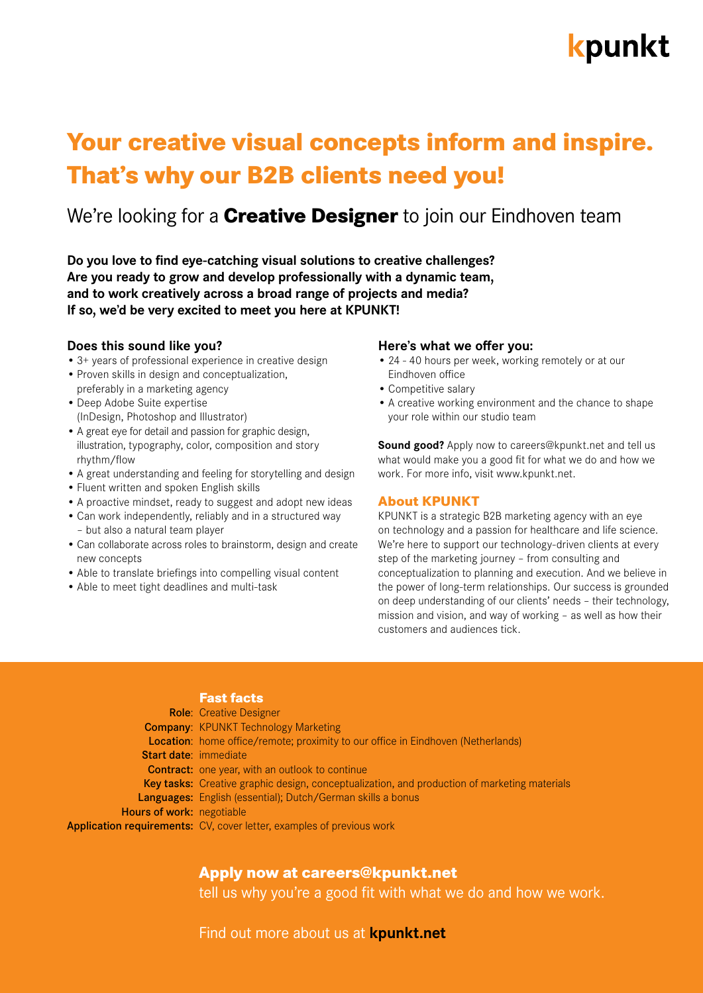# kpunkt

## **Your creative visual concepts inform and inspire. That's why our B2B clients need you!**

### We're looking for a **Creative Designer** to join our Eindhoven team

**Do you love to find eye-catching visual solutions to creative challenges? Are you ready to grow and develop professionally with a dynamic team, and to work creatively across a broad range of projects and media? If so, we'd be very excited to meet you here at KPUNKT!**

#### **Does this sound like you?**

- 3+ years of professional experience in creative design
- Proven skills in design and conceptualization, preferably in a marketing agency
- Deep Adobe Suite expertise (InDesign, Photoshop and Illustrator)
- A great eye for detail and passion for graphic design, illustration, typography, color, composition and story rhythm/flow
- A great understanding and feeling for storytelling and design
- Fluent written and spoken English skills
- A proactive mindset, ready to suggest and adopt new ideas
- Can work independently, reliably and in a structured way – but also a natural team player
- Can collaborate across roles to brainstorm, design and create new concepts
- Able to translate briefings into compelling visual content
- Able to meet tight deadlines and multi-task

#### **Here's what we offer you:**

- 24 40 hours per week, working remotely or at our Eindhoven office
- Competitive salary
- A creative working environment and the chance to shape your role within our studio team

**Sound good?** Apply now to [careers@kpunkt.net](mailto:careers%40kpunkt.net?subject=) and tell us what would make you a good fit for what we do and how we work. [For more info, visit www.kpunkt.net.](http://www.kpunkt.net)

#### **About KPUNKT**

KPUNKT is a strategic B2B marketing agency with an eye on technology and a passion for healthcare and life science. We're here to support our technology-driven clients at every step of the marketing journey – from consulting and conceptualization to planning and execution. And we believe in the power of long-term relationships. Our success is grounded on deep understanding of our clients' needs – their technology, mission and vision, and way of working – as well as how their customers and audiences tick.

#### **Fast facts**

|                                  | <b>Role:</b> Creative Designer                                                               |
|----------------------------------|----------------------------------------------------------------------------------------------|
|                                  | <b>Company: KPUNKT Technology Marketing</b>                                                  |
|                                  | <b>Location:</b> home office/remote; proximity to our office in Eindhoven (Netherlands)      |
| <b>Start date: immediate</b>     |                                                                                              |
|                                  | <b>Contract:</b> one year, with an outlook to continue                                       |
|                                  | Key tasks: Creative graphic design, conceptualization, and production of marketing materials |
|                                  | Languages: English (essential); Dutch/German skills a bonus                                  |
| <b>Hours of work: negotiable</b> |                                                                                              |
|                                  | Application requirements: CV, cover letter, examples of previous work                        |

#### **Apply now at [careers@kpunkt.net](mailto:careers%40kpunkt.net?subject=)**

tell us why you're a good fit with what we do and how we work.

[Find out more about us at](http://www.kpunkt.net) **kpunkt.net**